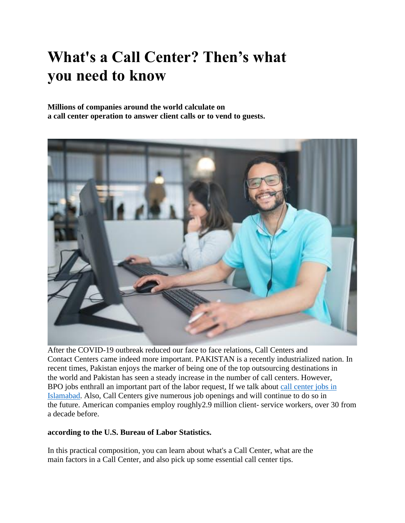# **What's a Call Center? Then's what you need to know**

**Millions of companies around the world calculate on a call center operation to answer client calls or to vend to guests.**



After the COVID-19 outbreak reduced our face to face relations, Call Centers and Contact Centers came indeed more important. PAKISTAN is a recently industrialized nation. In recent times, Pakistan enjoys the marker of being one of the top outsourcing destinations in the world and Pakistan has seen a steady increase in the number of call centers. However, BPO jobs enthrall an important part of the labor request, If we talk about call [center](https://allstarbpo.com/jobs/) jobs in [Islamabad.](https://allstarbpo.com/jobs/) Also, Call Centers give numerous job openings and will continue to do so in the future. American companies employ roughly2.9 million client- service workers, over 30 from a decade before.

## **according to the U.S. Bureau of Labor Statistics.**

In this practical composition, you can learn about what's a Call Center, what are the main factors in a Call Center, and also pick up some essential call center tips.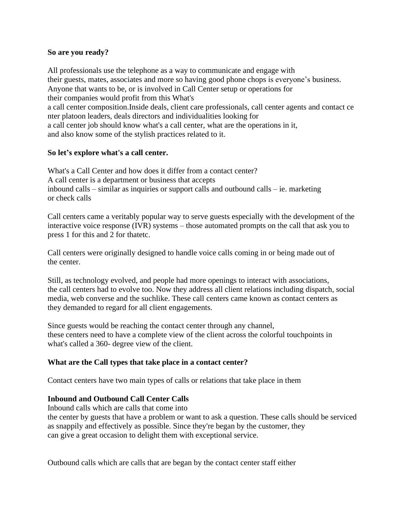## **So are you ready?**

All professionals use the telephone as a way to communicate and engage with their guests, mates, associates and more so having good phone chops is everyone's business. Anyone that wants to be, or is involved in Call Center setup or operations for their companies would profit from this What's a call center composition.Inside deals, client care professionals, call center agents and contact ce nter platoon leaders, deals directors and individualities looking for a call center job should know what's a call center, what are the operations in it, and also know some of the stylish practices related to it.

## **So let's explore what's a call center.**

What's a Call Center and how does it differ from a contact center? A call center is a department or business that accepts inbound calls – similar as inquiries or support calls and outbound calls – ie. marketing or check calls

Call centers came a veritably popular way to serve guests especially with the development of the interactive voice response (IVR) systems – those automated prompts on the call that ask you to press 1 for this and 2 for thatetc.

Call centers were originally designed to handle voice calls coming in or being made out of the center.

Still, as technology evolved, and people had more openings to interact with associations, the call centers had to evolve too. Now they address all client relations including dispatch, social media, web converse and the suchlike. These call centers came known as contact centers as they demanded to regard for all client engagements.

Since guests would be reaching the contact center through any channel, these centers need to have a complete view of the client across the colorful touchpoints in what's called a 360- degree view of the client.

# **What are the Call types that take place in a contact center?**

Contact centers have two main types of calls or relations that take place in them

## **Inbound and Outbound Call Center Calls**

Inbound calls which are calls that come into

the center by guests that have a problem or want to ask a question. These calls should be serviced as snappily and effectively as possible. Since they're began by the customer, they can give a great occasion to delight them with exceptional service.

Outbound calls which are calls that are began by the contact center staff either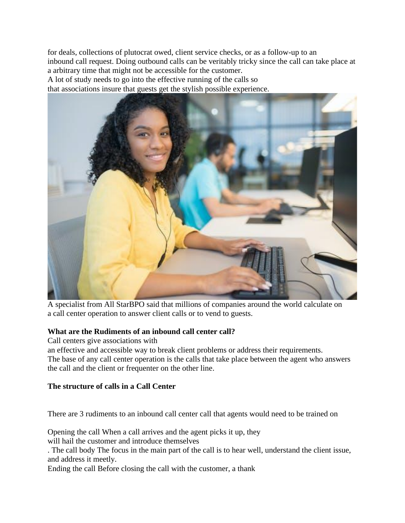for deals, collections of plutocrat owed, client service checks, or as a follow-up to an inbound call request. Doing outbound calls can be veritably tricky since the call can take place at a arbitrary time that might not be accessible for the customer.

A lot of study needs to go into the effective running of the calls so

that associations insure that guests get the stylish possible experience.



A specialist from All StarBPO said that millions of companies around the world calculate on a call center operation to answer client calls or to vend to guests.

## **What are the Rudiments of an inbound call center call?**

Call centers give associations with

an effective and accessible way to break client problems or address their requirements. The base of any call center operation is the calls that take place between the agent who answers the call and the client or frequenter on the other line.

# **The structure of calls in a Call Center**

There are 3 rudiments to an inbound call center call that agents would need to be trained on

Opening the call When a call arrives and the agent picks it up, they will hail the customer and introduce themselves

. The call body The focus in the main part of the call is to hear well, understand the client issue, and address it meetly.

Ending the call Before closing the call with the customer, a thank